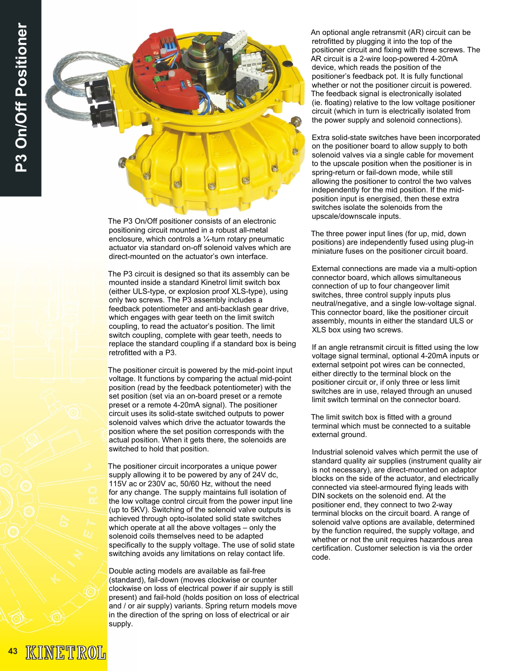

The P3 On/Off positioner consists of an electronic positioning circuit mounted in a robust all-metal enclosure, which controls a ¼-turn rotary pneumatic actuator via standard on-off solenoid valves which are direct-mounted on the actuator's own interface.

The P3 circuit is designed so that its assembly can be mounted inside a standard Kinetrol limit switch box (either ULS-type, or explosion proof XLS-type), using only two screws. The P3 assembly includes a feedback potentiometer and anti-backlash gear drive, which engages with gear teeth on the limit switch coupling, to read the actuator's position. The limit switch coupling, complete with gear teeth, needs to replace the standard coupling if a standard box is being retrofitted with a P3.

The positioner circuit is powered by the mid-point input voltage. It functions by comparing the actual mid-point position (read by the feedback potentiometer) with the set position (set via an on-board preset or a remote preset or a remote 4-20mA signal). The positioner circuit uses its solid-state switched outputs to power solenoid valves which drive the actuator towards the position where the set position corresponds with the actual position. When it gets there, the solenoids are switched to hold that position.

The positioner circuit incorporates a unique power supply allowing it to be powered by any of 24V dc, 115V ac or 230V ac, 50/60 Hz, without the need for any change. The supply maintains full isolation of the low voltage control circuit from the power input line (up to 5KV). Switching of the solenoid valve outputs is achieved through opto-isolated solid state switches which operate at all the above voltages – only the solenoid coils themselves need to be adapted specifically to the supply voltage. The use of solid state switching avoids any limitations on relay contact life.

Double acting models are available as fail-free (standard), fail-down (moves clockwise or counter clockwise on loss of electrical power if air supply is still present) and fail-hold (holds position on loss of electrical and / or air supply) variants. Spring return models move in the direction of the spring on loss of electrical or air supply.

An optional angle retransmit (AR) circuit can be retrofitted by plugging it into the top of the positioner circuit and fixing with three screws. The AR circuit is a 2-wire loop-powered 4-20mA device, which reads the position of the positioner's feedback pot. It is fully functional whether or not the positioner circuit is powered. The feedback signal is electronically isolated (ie. floating) relative to the low voltage positioner circuit (which in turn is electrically isolated from the power supply and solenoid connections).

Extra solid-state switches have been incorporated on the positioner board to allow supply to both solenoid valves via a single cable for movement to the upscale position when the positioner is in spring-return or fail-down mode, while still allowing the positioner to control the two valves independently for the mid position. If the midposition input is energised, then these extra switches isolate the solenoids from the upscale/downscale inputs.

The three power input lines (for up, mid, down positions) are independently fused using plug-in miniature fuses on the positioner circuit board.

External connections are made via a multi-option connector board, which allows simultaneous connection of up to four changeover limit switches, three control supply inputs plus neutral/negative, and a single low-voltage signal. This connector board, like the positioner circuit assembly, mounts in either the standard ULS or XLS box using two screws.

If an angle retransmit circuit is fitted using the low voltage signal terminal, optional 4-20mA inputs or external setpoint pot wires can be connected, either directly to the terminal block on the positioner circuit or, if only three or less limit switches are in use, relayed through an unused limit switch terminal on the connector board.

The limit switch box is fitted with a ground terminal which must be connected to a suitable external ground.

Industrial solenoid valves which permit the use of standard quality air supplies (instrument quality air is not necessary), are direct-mounted on adaptor blocks on the side of the actuator, and electrically connected via steel-armoured flying leads with DIN sockets on the solenoid end. At the positioner end, they connect to two 2-way terminal blocks on the circuit board. A range of solenoid valve options are available, determined by the function required, the supply voltage, and whether or not the unit requires hazardous area certification. Customer selection is via the order code.

INETROL